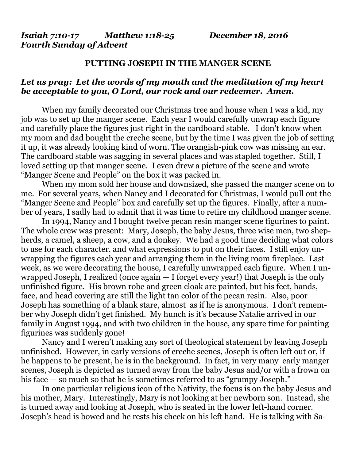*Isaiah 7:10-17 Matthew 1:18-25 December 18, 2016 Fourth Sunday of Advent* 

## **PUTTING JOSEPH IN THE MANGER SCENE**

## *Let us pray: Let the words of my mouth and the meditation of my heart be acceptable to you, O Lord, our rock and our redeemer. Amen.*

When my family decorated our Christmas tree and house when I was a kid, my job was to set up the manger scene. Each year I would carefully unwrap each figure and carefully place the figures just right in the cardboard stable. I don't know when my mom and dad bought the creche scene, but by the time I was given the job of setting it up, it was already looking kind of worn. The orangish-pink cow was missing an ear. The cardboard stable was sagging in several places and was stapled together. Still, I loved setting up that manger scene. I even drew a picture of the scene and wrote "Manger Scene and People" on the box it was packed in.

 When my mom sold her house and downsized, she passed the manger scene on to me. For several years, when Nancy and I decorated for Christmas, I would pull out the "Manger Scene and People" box and carefully set up the figures. Finally, after a number of years, I sadly had to admit that it was time to retire my childhood manger scene.

 In 1994, Nancy and I bought twelve pecan resin manger scene figurines to paint. The whole crew was present: Mary, Joseph, the baby Jesus, three wise men, two shepherds, a camel, a sheep, a cow, and a donkey. We had a good time deciding what colors to use for each character. and what expressions to put on their faces. I still enjoy unwrapping the figures each year and arranging them in the living room fireplace. Last week, as we were decorating the house, I carefully unwrapped each figure. When I unwrapped Joseph, I realized (once again — I forget every year!) that Joseph is the only unfinished figure. His brown robe and green cloak are painted, but his feet, hands, face, and head covering are still the light tan color of the pecan resin. Also, poor Joseph has something of a blank stare, almost as if he is anonymous. I don't remember why Joseph didn't get finished. My hunch is it's because Natalie arrived in our family in August 1994, and with two children in the house, any spare time for painting figurines was suddenly gone!

 Nancy and I weren't making any sort of theological statement by leaving Joseph unfinished. However, in early versions of creche scenes, Joseph is often left out or, if he happens to be present, he is in the background. In fact, in very many early manger scenes, Joseph is depicted as turned away from the baby Jesus and/or with a frown on his face — so much so that he is sometimes referred to as "grumpy Joseph."

 In one particular religious icon of the Nativity, the focus is on the baby Jesus and his mother, Mary. Interestingly, Mary is not looking at her newborn son. Instead, she is turned away and looking at Joseph, who is seated in the lower left-hand corner. Joseph's head is bowed and he rests his cheek on his left hand. He is talking with Sa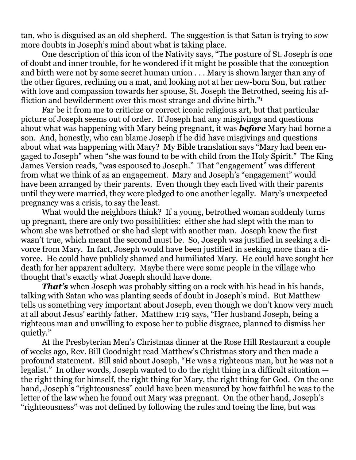tan, who is disguised as an old shepherd. The suggestion is that Satan is trying to sow more doubts in Joseph's mind about what is taking place.

 One description of this icon of the Nativity says, "The posture of St. Joseph is one of doubt and inner trouble, for he wondered if it might be possible that the conception and birth were not by some secret human union . . . Mary is shown larger than any of the other figures, reclining on a mat, and looking not at her new-born Son, but rather with love and compassion towards her spouse, St. Joseph the Betrothed, seeing his affliction and bewilderment over this most strange and divine birth."<sup>1</sup>

 Far be it from me to criticize or correct iconic religious art, but that particular picture of Joseph seems out of order. If Joseph had any misgivings and questions about what was happening with Mary being pregnant, it was *before* Mary had borne a son. And, honestly, who can blame Joseph if he did have misgivings and questions about what was happening with Mary? My Bible translation says "Mary had been engaged to Joseph" when "she was found to be with child from the Holy Spirit." The King James Version reads, "was espoused to Joseph." That "engagement" was different from what we think of as an engagement. Mary and Joseph's "engagement" would have been arranged by their parents. Even though they each lived with their parents until they were married, they were pledged to one another legally. Mary's unexpected pregnancy was a crisis, to say the least.

What would the neighbors think? If a young, betrothed woman suddenly turns up pregnant, there are only two possibilities: either she had slept with the man to whom she was betrothed or she had slept with another man. Joseph knew the first wasn't true, which meant the second must be. So, Joseph was justified in seeking a divorce from Mary. In fact, Joseph would have been justified in seeking more than a divorce. He could have publicly shamed and humiliated Mary. He could have sought her death for her apparent adultery. Maybe there were some people in the village who thought that's exactly what Joseph should have done.

*That's* when Joseph was probably sitting on a rock with his head in his hands, talking with Satan who was planting seeds of doubt in Joseph's mind. But Matthew tells us something very important about Joseph, even though we don't know very much at all about Jesus' earthly father. Matthew 1:19 says, "Her husband Joseph, being a righteous man and unwilling to expose her to public disgrace, planned to dismiss her quietly."

 At the Presbyterian Men's Christmas dinner at the Rose Hill Restaurant a couple of weeks ago, Rev. Bill Goodnight read Matthew's Christmas story and then made a profound statement. Bill said about Joseph, "He was a righteous man, but he was not a legalist." In other words, Joseph wanted to do the right thing in a difficult situation the right thing for himself, the right thing for Mary, the right thing for God. On the one hand, Joseph's "righteousness" could have been measured by how faithful he was to the letter of the law when he found out Mary was pregnant. On the other hand, Joseph's "righteousness" was not defined by following the rules and toeing the line, but was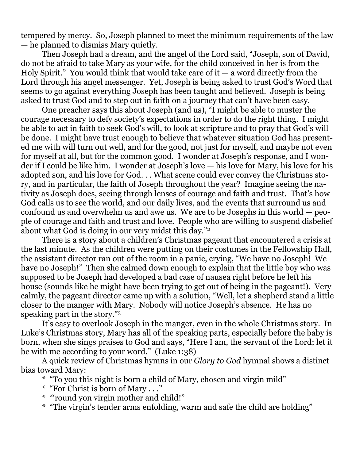tempered by mercy. So, Joseph planned to meet the minimum requirements of the law — he planned to dismiss Mary quietly.

 Then Joseph had a dream, and the angel of the Lord said, "Joseph, son of David, do not be afraid to take Mary as your wife, for the child conceived in her is from the Holy Spirit." You would think that would take care of it  $-$  a word directly from the Lord through his angel messenger. Yet, Joseph is being asked to trust God's Word that seems to go against everything Joseph has been taught and believed. Joseph is being asked to trust God and to step out in faith on a journey that can't have been easy.

 One preacher says this about Joseph (and us), "I might be able to muster the courage necessary to defy society's expectations in order to do the right thing. I might be able to act in faith to seek God's will, to look at scripture and to pray that God's will be done. I might have trust enough to believe that whatever situation God has presented me with will turn out well, and for the good, not just for myself, and maybe not even for myself at all, but for the common good. I wonder at Joseph's response, and I wonder if I could be like him. I wonder at Joseph's love — his love for Mary, his love for his adopted son, and his love for God. . . What scene could ever convey the Christmas story, and in particular, the faith of Joseph throughout the year? Imagine seeing the nativity as Joseph does, seeing through lenses of courage and faith and trust. That's how God calls us to see the world, and our daily lives, and the events that surround us and confound us and overwhelm us and awe us. We are to be Josephs in this world — people of courage and faith and trust and love. People who are willing to suspend disbelief about what God is doing in our very midst this day."2

 There is a story about a children's Christmas pageant that encountered a crisis at the last minute. As the children were putting on their costumes in the Fellowship Hall, the assistant director ran out of the room in a panic, crying, "We have no Joseph! We have no Joseph!" Then she calmed down enough to explain that the little boy who was supposed to be Joseph had developed a bad case of nausea right before he left his house (sounds like he might have been trying to get out of being in the pageant!). Very calmly, the pageant director came up with a solution, "Well, let a shepherd stand a little closer to the manger with Mary. Nobody will notice Joseph's absence. He has no speaking part in the story."3

 It's easy to overlook Joseph in the manger, even in the whole Christmas story. In Luke's Christmas story, Mary has all of the speaking parts, especially before the baby is born, when she sings praises to God and says, "Here I am, the servant of the Lord; let it be with me according to your word." (Luke 1:38)

 A quick review of Christmas hymns in our *Glory to God* hymnal shows a distinct bias toward Mary:

- \* "To you this night is born a child of Mary, chosen and virgin mild"
- \* "For Christ is born of Mary . . ."
- \* "'round yon virgin mother and child!"
- \* "The virgin's tender arms enfolding, warm and safe the child are holding"